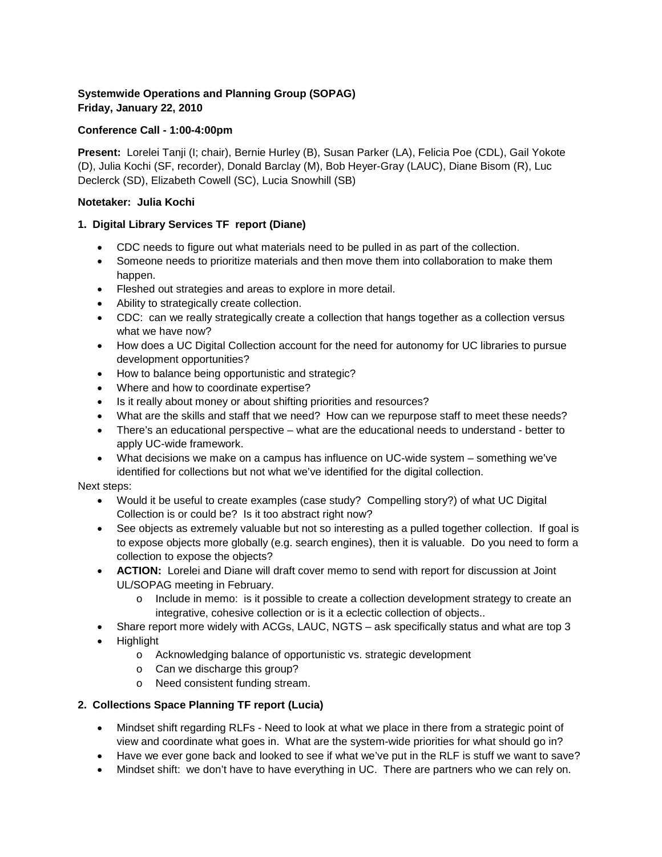### **Systemwide Operations and Planning Group (SOPAG) Friday, January 22, 2010**

#### **Conference Call - 1:00-4:00pm**

**Present:** Lorelei Tanji (I; chair), Bernie Hurley (B), Susan Parker (LA), Felicia Poe (CDL), Gail Yokote (D), Julia Kochi (SF, recorder), Donald Barclay (M), Bob Heyer-Gray (LAUC), Diane Bisom (R), Luc Declerck (SD), Elizabeth Cowell (SC), Lucia Snowhill (SB)

#### **Notetaker: Julia Kochi**

### **1. Digital Library Services TF report (Diane)**

- CDC needs to figure out what materials need to be pulled in as part of the collection.
- Someone needs to prioritize materials and then move them into collaboration to make them happen.
- Fleshed out strategies and areas to explore in more detail.
- Ability to strategically create collection.
- CDC: can we really strategically create a collection that hangs together as a collection versus what we have now?
- How does a UC Digital Collection account for the need for autonomy for UC libraries to pursue development opportunities?
- How to balance being opportunistic and strategic?
- Where and how to coordinate expertise?
- Is it really about money or about shifting priorities and resources?
- What are the skills and staff that we need? How can we repurpose staff to meet these needs?
- There's an educational perspective what are the educational needs to understand better to apply UC-wide framework.
- What decisions we make on a campus has influence on UC-wide system something we've identified for collections but not what we've identified for the digital collection.

#### Next steps:

- Would it be useful to create examples (case study? Compelling story?) of what UC Digital Collection is or could be? Is it too abstract right now?
- See objects as extremely valuable but not so interesting as a pulled together collection. If goal is to expose objects more globally (e.g. search engines), then it is valuable. Do you need to form a collection to expose the objects?
- **ACTION:** Lorelei and Diane will draft cover memo to send with report for discussion at Joint UL/SOPAG meeting in February.
	- o Include in memo: is it possible to create a collection development strategy to create an integrative, cohesive collection or is it a eclectic collection of objects..
- Share report more widely with ACGs, LAUC, NGTS ask specifically status and what are top 3
- Highlight
	- o Acknowledging balance of opportunistic vs. strategic development
	- o Can we discharge this group?
	- o Need consistent funding stream.

#### **2. Collections Space Planning TF report (Lucia)**

- Mindset shift regarding RLFs Need to look at what we place in there from a strategic point of view and coordinate what goes in. What are the system-wide priorities for what should go in?
- Have we ever gone back and looked to see if what we've put in the RLF is stuff we want to save?
- Mindset shift: we don't have to have everything in UC. There are partners who we can rely on.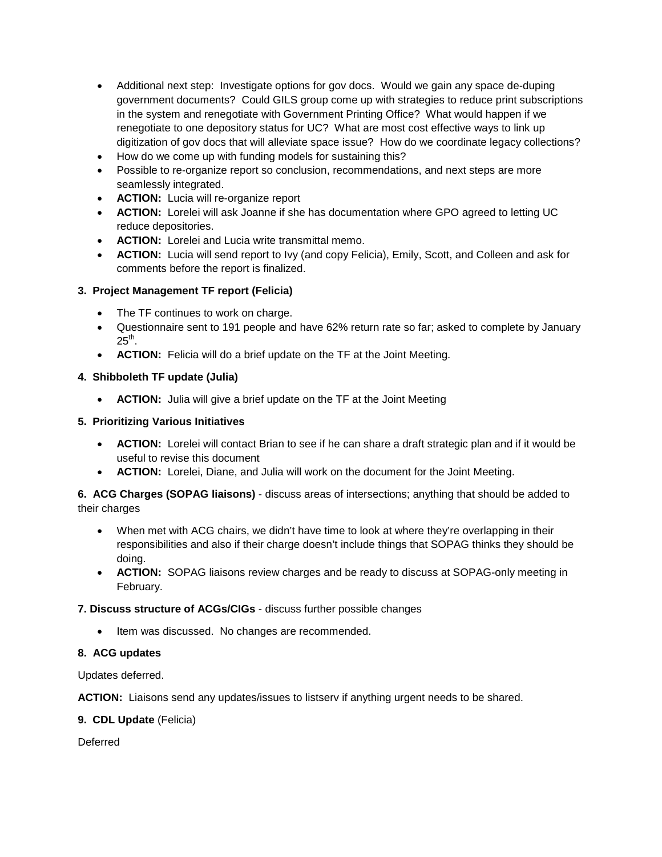- Additional next step: Investigate options for gov docs. Would we gain any space de-duping government documents? Could GILS group come up with strategies to reduce print subscriptions in the system and renegotiate with Government Printing Office? What would happen if we renegotiate to one depository status for UC? What are most cost effective ways to link up digitization of gov docs that will alleviate space issue? How do we coordinate legacy collections?
- How do we come up with funding models for sustaining this?
- Possible to re-organize report so conclusion, recommendations, and next steps are more seamlessly integrated.
- **ACTION:** Lucia will re-organize report
- **ACTION:** Lorelei will ask Joanne if she has documentation where GPO agreed to letting UC reduce depositories.
- **ACTION:** Lorelei and Lucia write transmittal memo.
- **ACTION:** Lucia will send report to Ivy (and copy Felicia), Emily, Scott, and Colleen and ask for comments before the report is finalized.

### **3. Project Management TF report (Felicia)**

- The TF continues to work on charge.
- Questionnaire sent to 191 people and have 62% return rate so far; asked to complete by January  $25<sup>th</sup>$ .
- **ACTION:** Felicia will do a brief update on the TF at the Joint Meeting.

#### **4. Shibboleth TF update (Julia)**

• **ACTION:** Julia will give a brief update on the TF at the Joint Meeting

#### **5. Prioritizing Various Initiatives**

- **ACTION:** Lorelei will contact Brian to see if he can share a draft strategic plan and if it would be useful to revise this document
- **ACTION:** Lorelei, Diane, and Julia will work on the document for the Joint Meeting.

**6. ACG Charges (SOPAG liaisons)** - discuss areas of intersections; anything that should be added to their charges

- When met with ACG chairs, we didn't have time to look at where they're overlapping in their responsibilities and also if their charge doesn't include things that SOPAG thinks they should be doing.
- **ACTION:** SOPAG liaisons review charges and be ready to discuss at SOPAG-only meeting in February.

#### **7. Discuss structure of ACGs/CIGs** - discuss further possible changes

• Item was discussed. No changes are recommended.

#### **8. ACG updates**

Updates deferred.

**ACTION:** Liaisons send any updates/issues to listserv if anything urgent needs to be shared.

#### **9. CDL Update** (Felicia)

**Deferred**